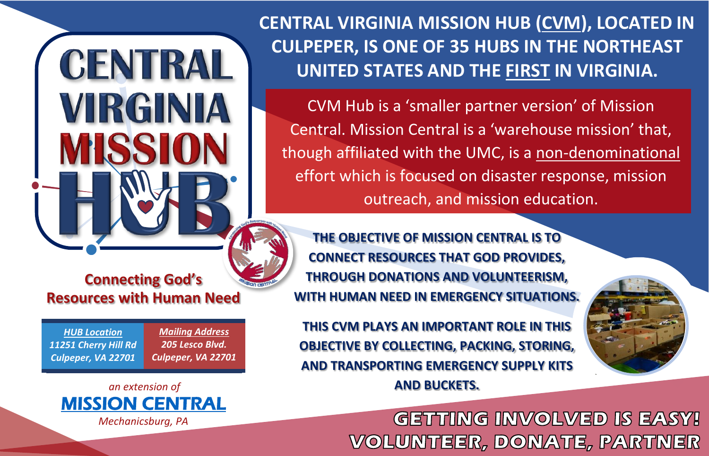**CENTRAL VIRGINIA MISSION HUB (CVM), LOCATED IN CULPEPER, IS ONE OF 35 HUBS IN THE NORTHEAST UNITED STATES AND THE FIRST IN VIRGINIA.**

CVM Hub is a 'smaller partner version' of Mission Central. Mission Central is a 'warehouse mission' that, though affiliated with the UMC, is a non-denominational effort which is focused on disaster response, mission outreach, and mission education.

#### **THE OBJECTIVE OF MISSION CENTRAL IS TO CONNECT RESOURCES THAT GOD PROVIDES, THROUGH DONATIONS AND VOLUNTEERISM, WITH HUMAN NEED IN EMERGENCY SITUATIONS.**

**THIS CVM PLAYS AN IMPORTANT ROLE IN THIS OBJECTIVE BY COLLECTING, PACKING, STORING, AND TRANSPORTING EMERGENCY SUPPLY KITS AND BUCKETS.**

> **GETTING INVOLVED IS EASY! VOLUNTEER, DONATE, PARTNER**

**Connecting God's Resources with Human Need**

**CENTRAL** 

VIRGINIA

*HUB Location 11251 Cherry Hill Rd Culpeper, VA 22701*

*Mailing Address 205 Lesco Blvd. Culpeper, VA 22701*



*Mechanicsburg, PA*